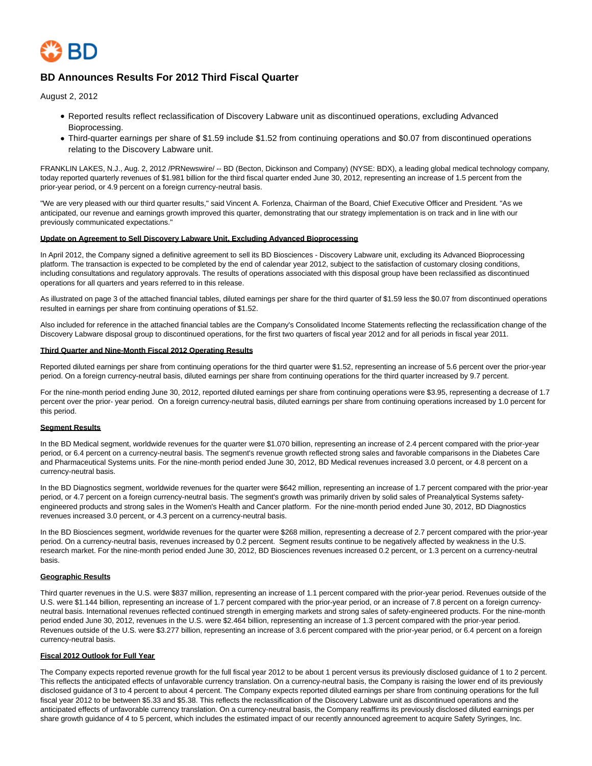

# **BD Announces Results For 2012 Third Fiscal Quarter**

August 2, 2012

- Reported results reflect reclassification of Discovery Labware unit as discontinued operations, excluding Advanced Bioprocessing.
- Third-quarter earnings per share of \$1.59 include \$1.52 from continuing operations and \$0.07 from discontinued operations relating to the Discovery Labware unit.

FRANKLIN LAKES, N.J., Aug. 2, 2012 /PRNewswire/ -- BD (Becton, Dickinson and Company) (NYSE: BDX), a leading global medical technology company, today reported quarterly revenues of \$1.981 billion for the third fiscal quarter ended June 30, 2012, representing an increase of 1.5 percent from the prior-year period, or 4.9 percent on a foreign currency-neutral basis.

"We are very pleased with our third quarter results," said Vincent A. Forlenza, Chairman of the Board, Chief Executive Officer and President. "As we anticipated, our revenue and earnings growth improved this quarter, demonstrating that our strategy implementation is on track and in line with our previously communicated expectations."

### **Update on Agreement to Sell Discovery Labware Unit, Excluding Advanced Bioprocessing**

In April 2012, the Company signed a definitive agreement to sell its BD Biosciences - Discovery Labware unit, excluding its Advanced Bioprocessing platform. The transaction is expected to be completed by the end of calendar year 2012, subject to the satisfaction of customary closing conditions, including consultations and regulatory approvals. The results of operations associated with this disposal group have been reclassified as discontinued operations for all quarters and years referred to in this release.

As illustrated on page 3 of the attached financial tables, diluted earnings per share for the third quarter of \$1.59 less the \$0.07 from discontinued operations resulted in earnings per share from continuing operations of \$1.52.

Also included for reference in the attached financial tables are the Company's Consolidated Income Statements reflecting the reclassification change of the Discovery Labware disposal group to discontinued operations, for the first two quarters of fiscal year 2012 and for all periods in fiscal year 2011.

### **Third Quarter and Nine-Month Fiscal 2012 Operating Results**

Reported diluted earnings per share from continuing operations for the third quarter were \$1.52, representing an increase of 5.6 percent over the prior-year period. On a foreign currency-neutral basis, diluted earnings per share from continuing operations for the third quarter increased by 9.7 percent.

For the nine-month period ending June 30, 2012, reported diluted earnings per share from continuing operations were \$3.95, representing a decrease of 1.7 percent over the prior- year period. On a foreign currency-neutral basis, diluted earnings per share from continuing operations increased by 1.0 percent for this period.

## **Segment Results**

In the BD Medical segment, worldwide revenues for the quarter were \$1.070 billion, representing an increase of 2.4 percent compared with the prior-year period, or 6.4 percent on a currency-neutral basis. The segment's revenue growth reflected strong sales and favorable comparisons in the Diabetes Care and Pharmaceutical Systems units. For the nine-month period ended June 30, 2012, BD Medical revenues increased 3.0 percent, or 4.8 percent on a currency-neutral basis.

In the BD Diagnostics segment, worldwide revenues for the quarter were \$642 million, representing an increase of 1.7 percent compared with the prior-year period, or 4.7 percent on a foreign currency-neutral basis. The segment's growth was primarily driven by solid sales of Preanalytical Systems safetyengineered products and strong sales in the Women's Health and Cancer platform. For the nine-month period ended June 30, 2012, BD Diagnostics revenues increased 3.0 percent, or 4.3 percent on a currency-neutral basis.

In the BD Biosciences segment, worldwide revenues for the quarter were \$268 million, representing a decrease of 2.7 percent compared with the prior-year period. On a currency-neutral basis, revenues increased by 0.2 percent. Segment results continue to be negatively affected by weakness in the U.S. research market. For the nine-month period ended June 30, 2012, BD Biosciences revenues increased 0.2 percent, or 1.3 percent on a currency-neutral basis.

#### **Geographic Results**

Third quarter revenues in the U.S. were \$837 million, representing an increase of 1.1 percent compared with the prior-year period. Revenues outside of the U.S. were \$1.144 billion, representing an increase of 1.7 percent compared with the prior-year period, or an increase of 7.8 percent on a foreign currencyneutral basis. International revenues reflected continued strength in emerging markets and strong sales of safety-engineered products. For the nine-month period ended June 30, 2012, revenues in the U.S. were \$2.464 billion, representing an increase of 1.3 percent compared with the prior-year period. Revenues outside of the U.S. were \$3.277 billion, representing an increase of 3.6 percent compared with the prior-year period, or 6.4 percent on a foreign currency-neutral basis.

#### **Fiscal 2012 Outlook for Full Year**

The Company expects reported revenue growth for the full fiscal year 2012 to be about 1 percent versus its previously disclosed guidance of 1 to 2 percent. This reflects the anticipated effects of unfavorable currency translation. On a currency-neutral basis, the Company is raising the lower end of its previously disclosed guidance of 3 to 4 percent to about 4 percent. The Company expects reported diluted earnings per share from continuing operations for the full fiscal year 2012 to be between \$5.33 and \$5.38. This reflects the reclassification of the Discovery Labware unit as discontinued operations and the anticipated effects of unfavorable currency translation. On a currency-neutral basis, the Company reaffirms its previously disclosed diluted earnings per share growth guidance of 4 to 5 percent, which includes the estimated impact of our recently announced agreement to acquire Safety Syringes, Inc.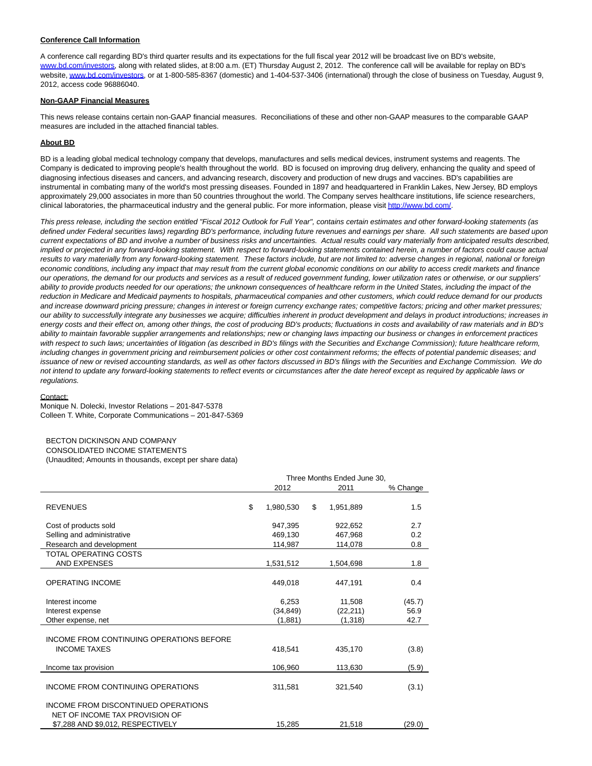### **Conference Call Information**

A conference call regarding BD's third quarter results and its expectations for the full fiscal year 2012 will be broadcast live on BD's website, [www.bd.com/investors,](http://www.bd.com/investors) along with related slides, at 8:00 a.m. (ET) Thursday August 2, 2012. The conference call will be available for replay on BD's website[, www.bd.com/investors,](http://www.bd.com/investors) or at 1-800-585-8367 (domestic) and 1-404-537-3406 (international) through the close of business on Tuesday, August 9, 2012, access code 96886040.

### **Non-GAAP Financial Measures**

This news release contains certain non-GAAP financial measures. Reconciliations of these and other non-GAAP measures to the comparable GAAP measures are included in the attached financial tables.

### **About BD**

BD is a leading global medical technology company that develops, manufactures and sells medical devices, instrument systems and reagents. The Company is dedicated to improving people's health throughout the world. BD is focused on improving drug delivery, enhancing the quality and speed of diagnosing infectious diseases and cancers, and advancing research, discovery and production of new drugs and vaccines. BD's capabilities are instrumental in combating many of the world's most pressing diseases. Founded in 1897 and headquartered in Franklin Lakes, New Jersey, BD employs approximately 29,000 associates in more than 50 countries throughout the world. The Company serves healthcare institutions, life science researchers, clinical laboratories, the pharmaceutical industry and the general public. For more information, please visit [http://www.bd.com/.](http://www.bd.com/)

This press release, including the section entitled "Fiscal 2012 Outlook for Full Year", contains certain estimates and other forward-looking statements (as defined under Federal securities laws) regarding BD's performance, including future revenues and earnings per share. All such statements are based upon current expectations of BD and involve a number of business risks and uncertainties. Actual results could vary materially from anticipated results described, implied or projected in any forward-looking statement. With respect to forward-looking statements contained herein, a number of factors could cause actual results to vary materially from any forward-looking statement. These factors include, but are not limited to: adverse changes in regional, national or foreign economic conditions, including any impact that may result from the current global economic conditions on our ability to access credit markets and finance our operations, the demand for our products and services as a result of reduced government funding, lower utilization rates or otherwise, or our suppliers' ability to provide products needed for our operations; the unknown consequences of healthcare reform in the United States, including the impact of the reduction in Medicare and Medicaid payments to hospitals, pharmaceutical companies and other customers, which could reduce demand for our products and increase downward pricing pressure; changes in interest or foreign currency exchange rates; competitive factors; pricing and other market pressures; our ability to successfully integrate any businesses we acquire; difficulties inherent in product development and delays in product introductions; increases in energy costs and their effect on, among other things, the cost of producing BD's products; fluctuations in costs and availability of raw materials and in BD's ability to maintain favorable supplier arrangements and relationships; new or changing laws impacting our business or changes in enforcement practices with respect to such laws; uncertainties of litigation (as described in BD's filings with the Securities and Exchange Commission); future healthcare reform, including changes in government pricing and reimbursement policies or other cost containment reforms; the effects of potential pandemic diseases; and issuance of new or revised accounting standards, as well as other factors discussed in BD's filings with the Securities and Exchange Commission. We do not intend to update any forward-looking statements to reflect events or circumstances after the date hereof except as required by applicable laws or regulations.

# Contact:

Monique N. Dolecki, Investor Relations – 201-847-5378 Colleen T. White, Corporate Communications – 201-847-5369

#### BECTON DICKINSON AND COMPANY CONSOLIDATED INCOME STATEMENTS (Unaudited; Amounts in thousands, except per share data)

|                                                                       | Three Months Ended June 30, |                    |    |                    |            |
|-----------------------------------------------------------------------|-----------------------------|--------------------|----|--------------------|------------|
|                                                                       |                             | 2012               |    | 2011               | % Change   |
| <b>REVENUES</b>                                                       | \$                          | 1,980,530          | \$ | 1,951,889          | 1.5        |
| Cost of products sold<br>Selling and administrative                   |                             | 947,395<br>469,130 |    | 922,652<br>467,968 | 2.7<br>0.2 |
| Research and development                                              |                             | 114,987            |    | 114,078            | 0.8        |
| TOTAL OPERATING COSTS                                                 |                             |                    |    |                    |            |
| <b>AND EXPENSES</b>                                                   |                             | 1,531,512          |    | 1,504,698          | 1.8        |
| <b>OPERATING INCOME</b>                                               |                             | 449,018            |    | 447.191            | 0.4        |
| Interest income                                                       |                             | 6,253              |    | 11,508             | (45.7)     |
| Interest expense                                                      |                             | (34, 849)          |    | (22, 211)          | 56.9       |
| Other expense, net                                                    |                             | (1,881)            |    | (1,318)            | 42.7       |
| INCOME FROM CONTINUING OPERATIONS BEFORE<br><b>INCOME TAXES</b>       |                             | 418.541            |    | 435.170            | (3.8)      |
| Income tax provision                                                  |                             | 106,960            |    | 113,630            | (5.9)      |
| INCOME FROM CONTINUING OPERATIONS                                     |                             | 311,581            |    | 321,540            | (3.1)      |
| INCOME FROM DISCONTINUED OPERATIONS<br>NET OF INCOME TAX PROVISION OF |                             |                    |    |                    |            |
| \$7,288 AND \$9,012, RESPECTIVELY                                     |                             | 15,285             |    | 21,518             | (29.0)     |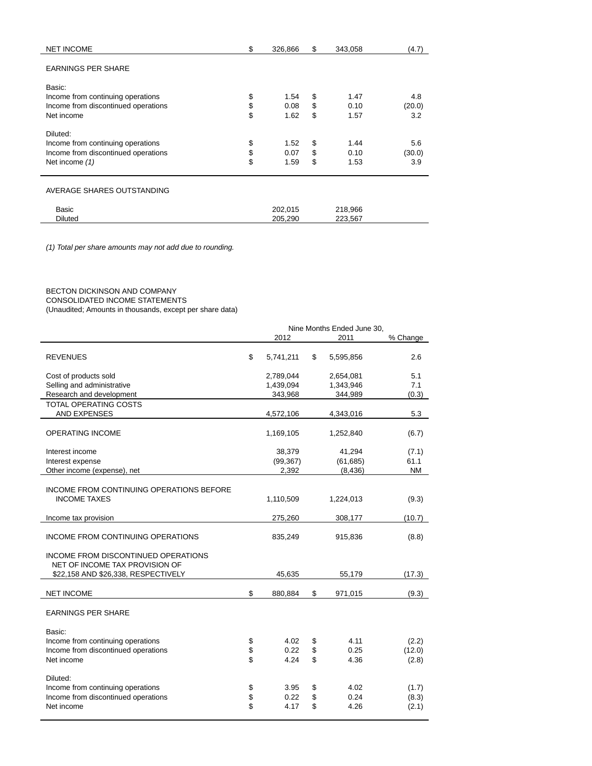| <b>NET INCOME</b>                                                                                      | \$             | 326,866              | \$             | 343,058              | (4.7)                |
|--------------------------------------------------------------------------------------------------------|----------------|----------------------|----------------|----------------------|----------------------|
| <b>EARNINGS PER SHARE</b>                                                                              |                |                      |                |                      |                      |
| Basic:<br>Income from continuing operations<br>Income from discontinued operations<br>Net income       | \$<br>\$<br>\$ | 1.54<br>0.08<br>1.62 | \$<br>\$<br>\$ | 1.47<br>0.10<br>1.57 | 4.8<br>(20.0)<br>3.2 |
| Diluted:<br>Income from continuing operations<br>Income from discontinued operations<br>Net income (1) | \$<br>\$<br>\$ | 1.52<br>0.07<br>1.59 | \$<br>\$<br>\$ | 1.44<br>0.10<br>1.53 | 5.6<br>(30.0)<br>3.9 |
| AVERAGE SHARES OUTSTANDING                                                                             |                |                      |                |                      |                      |
| Basic                                                                                                  |                | 202,015              |                | 218,966              |                      |

Diluted 205,290 223,567

(1) Total per share amounts may not add due to rounding.

# BECTON DICKINSON AND COMPANY CONSOLIDATED INCOME STATEMENTS

(Unaudited; Amounts in thousands, except per share data)

|                                                                       |    | Nine Months Ended June 30, |                 |          |
|-----------------------------------------------------------------------|----|----------------------------|-----------------|----------|
|                                                                       |    | 2012                       | 2011            | % Change |
| <b>REVENUES</b>                                                       | \$ | 5,741,211                  | \$<br>5,595,856 | 2.6      |
| Cost of products sold                                                 |    | 2,789,044                  | 2,654,081       | 5.1      |
| Selling and administrative                                            |    | 1,439,094                  | 1,343,946       | 7.1      |
| Research and development                                              |    | 343,968                    | 344,989         | (0.3)    |
| <b>TOTAL OPERATING COSTS</b>                                          |    |                            |                 |          |
| AND EXPENSES                                                          |    | 4,572,106                  | 4,343,016       | 5.3      |
| <b>OPERATING INCOME</b>                                               |    | 1,169,105                  | 1,252,840       | (6.7)    |
| Interest income                                                       |    | 38,379                     | 41,294          | (7.1)    |
| Interest expense                                                      |    | (99, 367)                  | (61, 685)       | 61.1     |
| Other income (expense), net                                           |    | 2,392                      | (8, 436)        | ΝM       |
| INCOME FROM CONTINUING OPERATIONS BEFORE<br><b>INCOME TAXES</b>       |    | 1,110,509                  | 1,224,013       | (9.3)    |
|                                                                       |    |                            |                 |          |
| Income tax provision                                                  |    | 275,260                    | 308,177         | (10.7)   |
| <b>INCOME FROM CONTINUING OPERATIONS</b>                              |    | 835,249                    | 915,836         | (8.8)    |
| INCOME FROM DISCONTINUED OPERATIONS<br>NET OF INCOME TAX PROVISION OF |    |                            |                 |          |
| \$22,158 AND \$26,338, RESPECTIVELY                                   |    | 45,635                     | 55,179          | (17.3)   |
| <b>NET INCOME</b>                                                     | \$ | 880,884                    | \$<br>971,015   | (9.3)    |
| <b>EARNINGS PER SHARE</b>                                             |    |                            |                 |          |
| Basic:                                                                |    |                            |                 |          |
| Income from continuing operations                                     | \$ | 4.02                       | \$<br>4.11      | (2.2)    |
| Income from discontinued operations                                   | \$ | 0.22                       | \$<br>0.25      | (12.0)   |
| Net income                                                            | \$ | 4.24                       | \$<br>4.36      | (2.8)    |
| Diluted:                                                              |    |                            |                 |          |
| Income from continuing operations                                     | \$ | 3.95                       | \$<br>4.02      | (1.7)    |
| Income from discontinued operations                                   | \$ | 0.22                       | \$<br>0.24      | (8.3)    |
| Net income                                                            | \$ | 4.17                       | \$<br>4.26      | (2.1)    |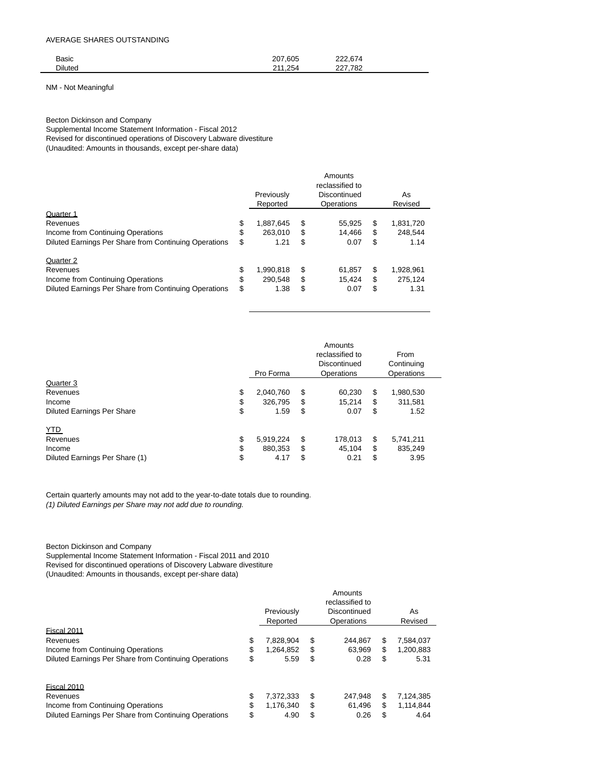# AVERAGE SHARES OUTSTANDING

| Basic          | 207,605            | 222.674           |  |
|----------------|--------------------|-------------------|--|
| <b>Diluted</b> | .254<br><b>O11</b> | .782<br>דמר<br>∠∠ |  |
|                |                    |                   |  |

NM - Not Meaningful

Becton Dickinson and Company

Supplemental Income Statement Information - Fiscal 2012 Revised for discontinued operations of Discovery Labware divestiture

(Unaudited: Amounts in thousands, except per-share data)

|                                                       | Previously<br>Reported |    | Amounts<br>reclassified to<br>Discontinued<br>Operations |    | As<br>Revised |
|-------------------------------------------------------|------------------------|----|----------------------------------------------------------|----|---------------|
| Quarter 1                                             |                        |    |                                                          |    |               |
| Revenues                                              | \$<br>1.887.645        | S  | 55.925                                                   | \$ | 1.831.720     |
| Income from Continuing Operations                     | \$<br>263.010          | S  | 14.466                                                   | \$ | 248.544       |
| Diluted Earnings Per Share from Continuing Operations | \$<br>1.21             | S  | 0.07                                                     | S  | 1.14          |
| Quarter 2                                             |                        |    |                                                          |    |               |
| Revenues                                              | \$<br>1.990.818        | S  | 61.857                                                   | \$ | 1.928.961     |
| Income from Continuing Operations                     | \$<br>290.548          | \$ | 15.424                                                   | \$ | 275.124       |
| Diluted Earnings Per Share from Continuing Operations | \$<br>1.38             | \$ | 0.07                                                     | \$ | 1.31          |

|                                         | Pro Forma | Amounts<br>reclassified to<br>Discontinued<br>Operations | From<br>Continuing<br>Operations |
|-----------------------------------------|-----------|----------------------------------------------------------|----------------------------------|
| Quarter 3                               |           |                                                          |                                  |
| \$<br>Revenues                          | 2,040,760 | \$<br>60,230                                             | \$<br>1,980,530                  |
| \$<br>Income                            | 326,795   | \$<br>15.214                                             | \$<br>311,581                    |
| \$<br><b>Diluted Earnings Per Share</b> | 1.59      | \$<br>0.07                                               | \$<br>1.52                       |
| <u>YTD</u>                              |           |                                                          |                                  |
| \$<br>Revenues                          | 5,919,224 | \$<br>178,013                                            | \$<br>5,741,211                  |
| \$<br>Income                            | 880,353   | \$<br>45.104                                             | \$<br>835,249                    |
| \$<br>Diluted Earnings Per Share (1)    | 4.17      | \$<br>0.21                                               | \$<br>3.95                       |

Certain quarterly amounts may not add to the year-to-date totals due to rounding. (1) Diluted Earnings per Share may not add due to rounding.

Becton Dickinson and Company

Supplemental Income Statement Information - Fiscal 2011 and 2010 Revised for discontinued operations of Discovery Labware divestiture (Unaudited: Amounts in thousands, except per-share data)

|                                                       | Previously<br>Reported |   | Amounts<br>reclassified to<br>Discontinued<br>Operations |    | As<br>Revised |
|-------------------------------------------------------|------------------------|---|----------------------------------------------------------|----|---------------|
| Fiscal 2011                                           |                        |   |                                                          |    |               |
| Revenues                                              | \$<br>7.828.904        | S | 244.867                                                  | S  | 7.584.037     |
| Income from Continuing Operations                     | \$<br>1.264.852        | S | 63.969                                                   | \$ | 1,200,883     |
| Diluted Earnings Per Share from Continuing Operations | \$<br>5.59             | S | 0.28                                                     | S  | 5.31          |
| Fiscal 2010                                           |                        |   |                                                          |    |               |
| Revenues                                              | \$<br>7.372.333        | S | 247.948                                                  | S  | 7.124.385     |
| Income from Continuing Operations                     | \$<br>1,176,340        | S | 61.496                                                   | S  | 1.114.844     |
| Diluted Earnings Per Share from Continuing Operations | \$<br>4.90             | S | 0.26                                                     | S  | 4.64          |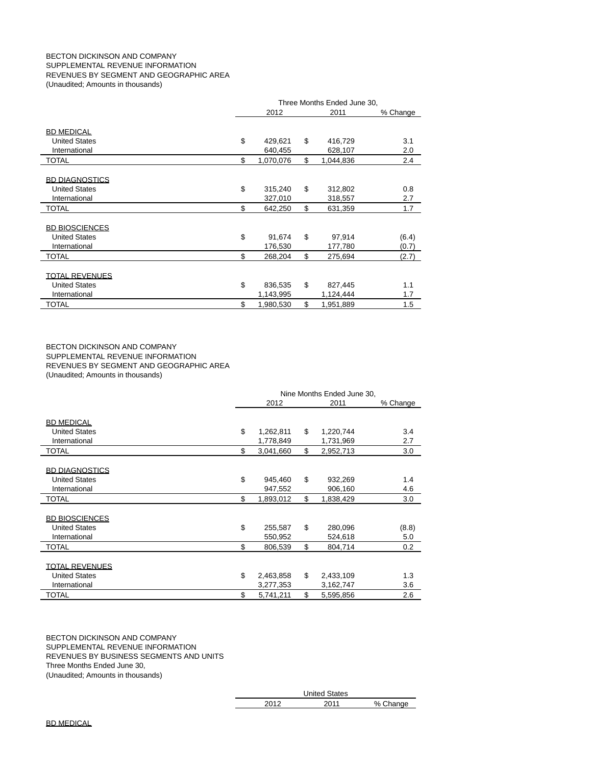## BECTON DICKINSON AND COMPANY SUPPLEMENTAL REVENUE INFORMATION REVENUES BY SEGMENT AND GEOGRAPHIC AREA (Unaudited; Amounts in thousands)

|                       | Three Months Ended June 30, |           |    |           |          |
|-----------------------|-----------------------------|-----------|----|-----------|----------|
|                       | 2012                        |           |    | 2011      | % Change |
|                       |                             |           |    |           |          |
| <b>BD MEDICAL</b>     |                             |           |    |           |          |
| <b>United States</b>  | \$                          | 429,621   | \$ | 416,729   | 3.1      |
| International         |                             | 640,455   |    | 628,107   | 2.0      |
| <b>TOTAL</b>          | \$                          | 1,070,076 | \$ | 1,044,836 | 2.4      |
|                       |                             |           |    |           |          |
| <b>BD DIAGNOSTICS</b> |                             |           |    |           |          |
| <b>United States</b>  | \$                          | 315,240   | \$ | 312,802   | 0.8      |
| International         |                             | 327,010   |    | 318,557   | 2.7      |
| <b>TOTAL</b>          | \$                          | 642,250   | \$ | 631,359   | 1.7      |
|                       |                             |           |    |           |          |
| <b>BD BIOSCIENCES</b> |                             |           |    |           |          |
| <b>United States</b>  | \$                          | 91,674    | \$ | 97,914    | (6.4)    |
| International         |                             | 176,530   |    | 177,780   | (0.7)    |
| <b>TOTAL</b>          | \$                          | 268,204   | \$ | 275,694   | (2.7)    |
|                       |                             |           |    |           |          |
| <b>TOTAL REVENUES</b> |                             |           |    |           |          |
| <b>United States</b>  | \$                          | 836,535   | \$ | 827,445   | 1.1      |
| International         |                             | 1,143,995 |    | 1,124,444 | 1.7      |
| TOTAL                 | \$                          | 1,980,530 | \$ | 1,951,889 | 1.5      |

# BECTON DICKINSON AND COMPANY SUPPLEMENTAL REVENUE INFORMATION REVENUES BY SEGMENT AND GEOGRAPHIC AREA (Unaudited; Amounts in thousands)

| Nine Months Ended June 30, |           |    |           |          |
|----------------------------|-----------|----|-----------|----------|
| 2012                       |           |    | 2011      | % Change |
|                            |           |    |           |          |
|                            |           |    |           |          |
| \$                         | 1,262,811 | \$ | 1,220,744 | 3.4      |
|                            | 1,778,849 |    | 1,731,969 | 2.7      |
| \$                         | 3,041,660 | \$ | 2,952,713 | 3.0      |
|                            |           |    |           |          |
|                            |           |    |           |          |
| \$                         | 945,460   | \$ | 932,269   | 1.4      |
|                            | 947,552   |    | 906,160   | 4.6      |
| \$                         | 1,893,012 | \$ | 1,838,429 | 3.0      |
|                            |           |    |           |          |
|                            |           |    |           |          |
| \$                         | 255,587   | \$ | 280,096   | (8.8)    |
|                            | 550,952   |    | 524,618   | 5.0      |
| \$                         | 806,539   | \$ | 804,714   | 0.2      |
|                            |           |    |           |          |
|                            |           |    |           |          |
| \$                         | 2,463,858 | \$ | 2,433,109 | 1.3      |
|                            | 3,277,353 |    | 3,162,747 | 3.6      |
| \$                         | 5,741,211 | \$ | 5,595,856 | 2.6      |
|                            |           |    |           |          |

j.

BECTON DICKINSON AND COMPANY SUPPLEMENTAL REVENUE INFORMATION REVENUES BY BUSINESS SEGMENTS AND UNITS Three Months Ended June 30, (Unaudited; Amounts in thousands)

|      | <b>United States</b> |                         |
|------|----------------------|-------------------------|
| ウハイウ |                      | `.hanαe<br>$O_{\alpha}$ |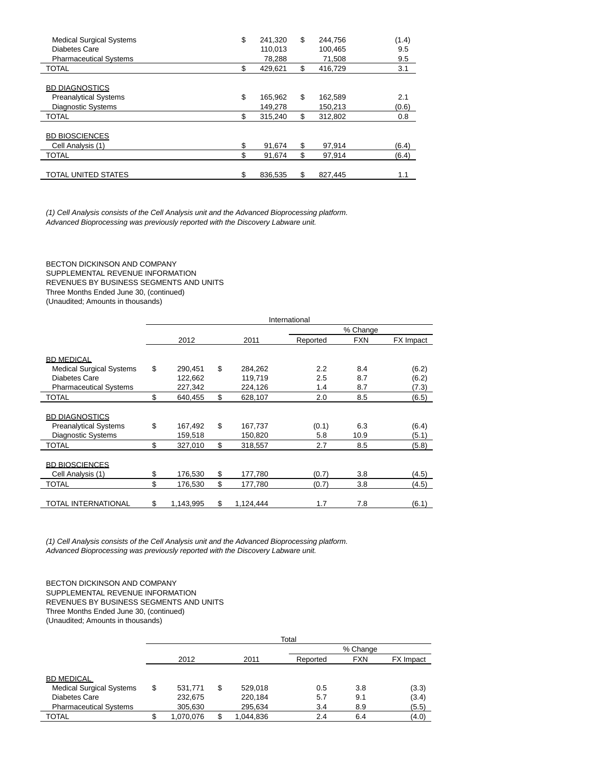| <b>Medical Surgical Systems</b> | \$<br>241.320 | \$<br>244.756 | (1.4) |
|---------------------------------|---------------|---------------|-------|
| Diabetes Care                   | 110.013       | 100.465       | 9.5   |
| <b>Pharmaceutical Systems</b>   | 78,288        | 71,508        | 9.5   |
| <b>TOTAL</b>                    | \$<br>429,621 | \$<br>416,729 | 3.1   |
|                                 |               |               |       |
| <b>BD DIAGNOSTICS</b>           |               |               |       |
| <b>Preanalytical Systems</b>    | \$<br>165,962 | \$<br>162,589 | 2.1   |
| <b>Diagnostic Systems</b>       | 149,278       | 150,213       | (0.6) |
| <b>TOTAL</b>                    | \$<br>315.240 | \$<br>312.802 | 0.8   |
|                                 |               |               |       |
| <b>BD BIOSCIENCES</b>           |               |               |       |
| Cell Analysis (1)               | \$<br>91.674  | \$<br>97,914  | (6.4) |
| <b>TOTAL</b>                    | \$<br>91.674  | \$<br>97.914  | (6.4) |
|                                 |               |               |       |
| TOTAL UNITED STATES             | \$<br>836.535 | \$<br>827.445 | 1.1   |

(1) Cell Analysis consists of the Cell Analysis unit and the Advanced Bioprocessing platform. Advanced Bioprocessing was previously reported with the Discovery Labware unit.

BECTON DICKINSON AND COMPANY SUPPLEMENTAL REVENUE INFORMATION REVENUES BY BUSINESS SEGMENTS AND UNITS Three Months Ended June 30, (continued) (Unaudited; Amounts in thousands)

|                                                       | International |           |    |           |          |            |           |  |
|-------------------------------------------------------|---------------|-----------|----|-----------|----------|------------|-----------|--|
|                                                       |               |           |    |           |          | % Change   |           |  |
|                                                       |               | 2012      |    | 2011      | Reported | <b>FXN</b> | FX Impact |  |
| <b>BD MEDICAL</b>                                     |               |           |    |           |          |            |           |  |
| <b>Medical Surgical Systems</b>                       | \$            | 290.451   | \$ | 284.262   | 2.2      | 8.4        | (6.2)     |  |
| Diabetes Care                                         |               | 122,662   |    | 119,719   | 2.5      | 8.7        | (6.2)     |  |
| <b>Pharmaceutical Systems</b>                         |               | 227.342   |    | 224,126   | 1.4      | 8.7        | (7.3)     |  |
| TOTAL                                                 | \$            | 640,455   | \$ | 628.107   | 2.0      | 8.5        | (6.5)     |  |
| <b>BD DIAGNOSTICS</b><br><b>Preanalytical Systems</b> | \$            | 167,492   | \$ | 167,737   | (0.1)    | 6.3        | (6.4)     |  |
| <b>Diagnostic Systems</b>                             |               | 159,518   |    | 150,820   | 5.8      | 10.9       | (5.1)     |  |
| TOTAL                                                 | \$            | 327,010   | \$ | 318,557   | 2.7      | 8.5        | (5.8)     |  |
| <b>BD BIOSCIENCES</b>                                 |               |           |    |           |          |            |           |  |
| Cell Analysis (1)                                     | \$            | 176,530   | \$ | 177,780   | (0.7)    | 3.8        | (4.5)     |  |
| TOTAL                                                 | \$            | 176,530   | \$ | 177,780   | (0.7)    | 3.8        | (4.5)     |  |
| TOTAL INTERNATIONAL                                   | \$            | 1,143,995 | \$ | 1,124,444 | 1.7      | 7.8        | (6.1)     |  |

(1) Cell Analysis consists of the Cell Analysis unit and the Advanced Bioprocessing platform. Advanced Bioprocessing was previously reported with the Discovery Labware unit.

BECTON DICKINSON AND COMPANY SUPPLEMENTAL REVENUE INFORMATION REVENUES BY BUSINESS SEGMENTS AND UNITS Three Months Ended June 30, (continued) (Unaudited; Amounts in thousands)

|                                 | Total         |    |           |          |            |                  |  |  |  |  |  |  |
|---------------------------------|---------------|----|-----------|----------|------------|------------------|--|--|--|--|--|--|
|                                 | % Change      |    |           |          |            |                  |  |  |  |  |  |  |
|                                 | 2012          |    | 2011      | Reported | <b>FXN</b> | <b>FX</b> Impact |  |  |  |  |  |  |
|                                 |               |    |           |          |            |                  |  |  |  |  |  |  |
| <b>BD MEDICAL</b>               |               |    |           |          |            |                  |  |  |  |  |  |  |
| <b>Medical Surgical Systems</b> | \$<br>531.771 | \$ | 529,018   | 0.5      | 3.8        | (3.3)            |  |  |  |  |  |  |
| Diabetes Care                   | 232,675       |    | 220,184   | 5.7      | 9.1        | (3.4)            |  |  |  |  |  |  |
| <b>Pharmaceutical Systems</b>   | 305,630       |    | 295,634   | 3.4      | 8.9        | (5.5)            |  |  |  |  |  |  |
| <b>TOTAL</b>                    | 1,070,076     |    | 1,044,836 | 2.4      | 6.4        | (4.0)            |  |  |  |  |  |  |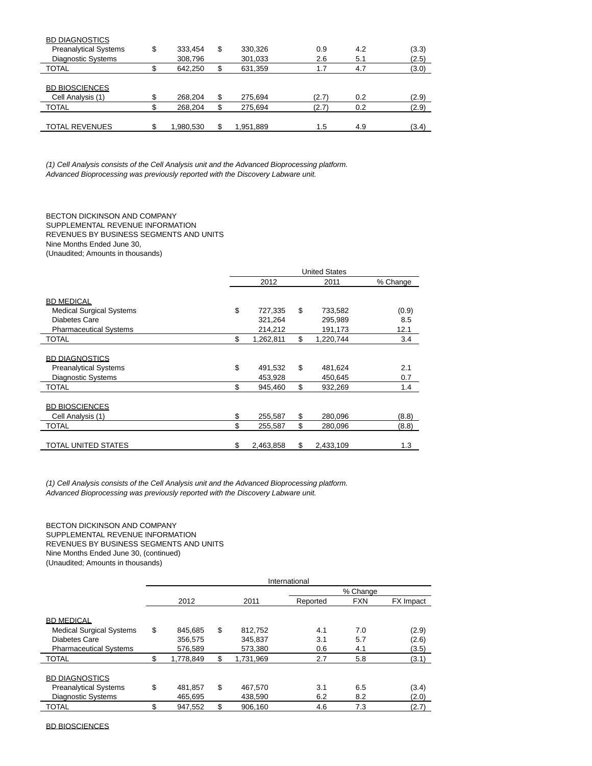| <b>BD DIAGNOSTICS</b>        |               |                 |       |     |       |
|------------------------------|---------------|-----------------|-------|-----|-------|
| <b>Preanalytical Systems</b> | \$<br>333,454 | \$<br>330,326   | 0.9   | 4.2 | (3.3) |
| <b>Diagnostic Systems</b>    | 308,796       | 301,033         | 2.6   | 5.1 | (2.5) |
| <b>TOTAL</b>                 | 642,250       | \$<br>631,359   | 1.7   | 4.7 | (3.0) |
|                              |               |                 |       |     |       |
| <b>BD BIOSCIENCES</b>        |               |                 |       |     |       |
| Cell Analysis (1)            | 268,204       | \$<br>275,694   | (2.7) | 0.2 | (2.9) |
| <b>TOTAL</b>                 | 268.204       | \$<br>275.694   | (2.7) | 0.2 | (2.9) |
|                              |               |                 |       |     |       |
| <b>TOTAL REVENUES</b>        | 1,980,530     | \$<br>1,951,889 | 1.5   | 4.9 | (3.4) |

(1) Cell Analysis consists of the Cell Analysis unit and the Advanced Bioprocessing platform. Advanced Bioprocessing was previously reported with the Discovery Labware unit.

### BECTON DICKINSON AND COMPANY SUPPLEMENTAL REVENUE INFORMATION REVENUES BY BUSINESS SEGMENTS AND UNITS Nine Months Ended June 30, (Unaudited; Amounts in thousands)

|                                 | <b>United States</b> |           |    |           |          |  |  |  |
|---------------------------------|----------------------|-----------|----|-----------|----------|--|--|--|
|                                 |                      | 2012      |    | 2011      | % Change |  |  |  |
|                                 |                      |           |    |           |          |  |  |  |
| <b>BD MEDICAL</b>               |                      |           |    |           |          |  |  |  |
| <b>Medical Surgical Systems</b> | \$                   | 727,335   | \$ | 733,582   | (0.9)    |  |  |  |
| Diabetes Care                   |                      | 321,264   |    | 295,989   | 8.5      |  |  |  |
| <b>Pharmaceutical Systems</b>   |                      | 214,212   |    | 191,173   | 12.1     |  |  |  |
| TOTAL                           | \$                   | 1,262,811 | \$ | 1,220,744 | 3.4      |  |  |  |
|                                 |                      |           |    |           |          |  |  |  |
| <b>BD DIAGNOSTICS</b>           |                      |           |    |           |          |  |  |  |
| <b>Preanalytical Systems</b>    | \$                   | 491,532   | \$ | 481,624   | 2.1      |  |  |  |
| <b>Diagnostic Systems</b>       |                      | 453,928   |    | 450,645   | 0.7      |  |  |  |
| TOTAL                           | \$                   | 945,460   | \$ | 932,269   | 1.4      |  |  |  |
|                                 |                      |           |    |           |          |  |  |  |
| <b>BD BIOSCIENCES</b>           |                      |           |    |           |          |  |  |  |
| Cell Analysis (1)               | \$                   | 255,587   | \$ | 280,096   | (8.8)    |  |  |  |
| TOTAL                           | \$                   | 255,587   | \$ | 280,096   | (8.8)    |  |  |  |
|                                 |                      |           |    |           |          |  |  |  |
| TOTAL UNITED STATES             | \$                   | 2.463.858 | \$ | 2,433,109 | 1.3      |  |  |  |

(1) Cell Analysis consists of the Cell Analysis unit and the Advanced Bioprocessing platform. Advanced Bioprocessing was previously reported with the Discovery Labware unit.

BECTON DICKINSON AND COMPANY SUPPLEMENTAL REVENUE INFORMATION REVENUES BY BUSINESS SEGMENTS AND UNITS Nine Months Ended June 30, (continued) (Unaudited; Amounts in thousands)

|                                                       | International |           |    |           |          |            |           |  |  |  |  |  |
|-------------------------------------------------------|---------------|-----------|----|-----------|----------|------------|-----------|--|--|--|--|--|
|                                                       |               | % Change  |    |           |          |            |           |  |  |  |  |  |
|                                                       |               | 2012      |    | 2011      | Reported | <b>FXN</b> | FX Impact |  |  |  |  |  |
| <b>BD MEDICAL</b>                                     |               |           |    |           |          |            |           |  |  |  |  |  |
| <b>Medical Surgical Systems</b>                       | \$            | 845.685   | \$ | 812.752   | 4.1      | 7.0        | (2.9)     |  |  |  |  |  |
| Diabetes Care                                         |               | 356,575   |    | 345,837   | 3.1      | 5.7        | (2.6)     |  |  |  |  |  |
| <b>Pharmaceutical Systems</b>                         |               | 576.589   |    | 573.380   | 0.6      | 4.1        | (3.5)     |  |  |  |  |  |
| <b>TOTAL</b>                                          | \$            | 1,778,849 | \$ | 1,731,969 | 2.7      | 5.8        | (3.1)     |  |  |  |  |  |
| <b>BD DIAGNOSTICS</b><br><b>Preanalytical Systems</b> | \$            | 481.857   | \$ | 467,570   | 3.1      | 6.5        | (3.4)     |  |  |  |  |  |
| <b>Diagnostic Systems</b>                             |               | 465,695   |    | 438,590   | 6.2      | 8.2        | (2.0)     |  |  |  |  |  |
| TOTAL                                                 | \$            | 947.552   | \$ | 906.160   | 4.6      | 7.3        | (2.7)     |  |  |  |  |  |

BD BIOSCIENCES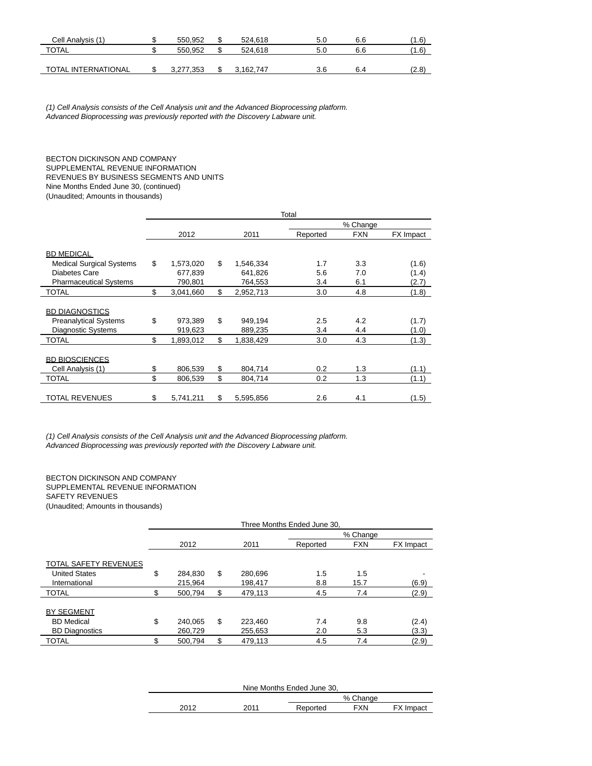| Cell Analysis (1)   | 550.952   | ъ  | 524.618   | 5.0 | 6.6 | $^{\prime}1.6^{\prime}$ |
|---------------------|-----------|----|-----------|-----|-----|-------------------------|
| <b>TOTAL</b>        | 550.952   | J, | 524.618   | 5.0 | 6.6 | $^{\prime}1.6^{\prime}$ |
|                     |           |    |           |     |     |                         |
| TOTAL INTERNATIONAL | 3,277,353 | S  | 3,162,747 | 3.6 | 6.4 | (2.8)                   |

(1) Cell Analysis consists of the Cell Analysis unit and the Advanced Bioprocessing platform. Advanced Bioprocessing was previously reported with the Discovery Labware unit.

BECTON DICKINSON AND COMPANY SUPPLEMENTAL REVENUE INFORMATION REVENUES BY BUSINESS SEGMENTS AND UNITS Nine Months Ended June 30, (continued) (Unaudited; Amounts in thousands)

|                                 | Total    |           |    |           |          |            |           |  |  |  |  |  |
|---------------------------------|----------|-----------|----|-----------|----------|------------|-----------|--|--|--|--|--|
|                                 | % Change |           |    |           |          |            |           |  |  |  |  |  |
|                                 |          | 2012      |    | 2011      | Reported | <b>FXN</b> | FX Impact |  |  |  |  |  |
|                                 |          |           |    |           |          |            |           |  |  |  |  |  |
| <b>BD MEDICAL</b>               |          |           |    |           |          |            |           |  |  |  |  |  |
| <b>Medical Surgical Systems</b> | \$       | 1,573,020 | \$ | 1,546,334 | 1.7      | 3.3        | (1.6)     |  |  |  |  |  |
| Diabetes Care                   |          | 677,839   |    | 641,826   | 5.6      | 7.0        | (1.4)     |  |  |  |  |  |
| <b>Pharmaceutical Systems</b>   |          | 790,801   |    | 764,553   | 3.4      | 6.1        | (2.7)     |  |  |  |  |  |
| TOTAL                           | \$       | 3,041,660 | \$ | 2,952,713 | 3.0      | 4.8        | (1.8)     |  |  |  |  |  |
|                                 |          |           |    |           |          |            |           |  |  |  |  |  |
| <b>BD DIAGNOSTICS</b>           |          |           |    |           |          |            |           |  |  |  |  |  |
| <b>Preanalytical Systems</b>    | \$       | 973,389   | \$ | 949.194   | 2.5      | 4.2        | (1.7)     |  |  |  |  |  |
| <b>Diagnostic Systems</b>       |          | 919,623   |    | 889,235   | 3.4      | 4.4        | (1.0)     |  |  |  |  |  |
| TOTAL                           | \$       | 1,893,012 | \$ | 1,838,429 | 3.0      | 4.3        | (1.3)     |  |  |  |  |  |
|                                 |          |           |    |           |          |            |           |  |  |  |  |  |
| <b>BD BIOSCIENCES</b>           |          |           |    |           |          |            |           |  |  |  |  |  |
| Cell Analysis (1)               | \$       | 806,539   | \$ | 804,714   | 0.2      | 1.3        | (1.1)     |  |  |  |  |  |
| TOTAL                           | \$       | 806,539   | \$ | 804,714   | 0.2      | 1.3        | (1.1)     |  |  |  |  |  |
|                                 |          |           |    |           |          |            |           |  |  |  |  |  |
| <b>TOTAL REVENUES</b>           | \$       | 5,741,211 | \$ | 5,595,856 | 2.6      | 4.1        | (1.5)     |  |  |  |  |  |

(1) Cell Analysis consists of the Cell Analysis unit and the Advanced Bioprocessing platform. Advanced Bioprocessing was previously reported with the Discovery Labware unit.

### BECTON DICKINSON AND COMPANY SUPPLEMENTAL REVENUE INFORMATION SAFETY REVENUES (Unaudited; Amounts in thousands)

|                       | Three Months Ended June 30. |          |    |         |          |            |           |  |  |  |  |  |
|-----------------------|-----------------------------|----------|----|---------|----------|------------|-----------|--|--|--|--|--|
|                       |                             | % Change |    |         |          |            |           |  |  |  |  |  |
|                       |                             | 2012     |    | 2011    | Reported | <b>FXN</b> | FX Impact |  |  |  |  |  |
|                       |                             |          |    |         |          |            |           |  |  |  |  |  |
| TOTAL SAFETY REVENUES |                             |          |    |         |          |            |           |  |  |  |  |  |
| <b>United States</b>  | \$                          | 284.830  | \$ | 280,696 | 1.5      | 1.5        |           |  |  |  |  |  |
| International         |                             | 215,964  |    | 198.417 | 8.8      | 15.7       | (6.9)     |  |  |  |  |  |
| <b>TOTAL</b>          | \$                          | 500,794  | \$ | 479,113 | 4.5      | 7.4        | (2.9)     |  |  |  |  |  |
|                       |                             |          |    |         |          |            |           |  |  |  |  |  |
| <b>BY SEGMENT</b>     |                             |          |    |         |          |            |           |  |  |  |  |  |
| <b>BD</b> Medical     | \$                          | 240,065  | \$ | 223.460 | 7.4      | 9.8        | (2.4)     |  |  |  |  |  |
| <b>BD Diagnostics</b> |                             | 260.729  |    | 255.653 | 2.0      | 5.3        | (3.3)     |  |  |  |  |  |
| TOTAL                 |                             | 500.794  | \$ | 479.113 | 4.5      | 7.4        | (2.9)     |  |  |  |  |  |

| Nine Months Ended June 30. |          |          |            |                  |  |  |  |  |  |
|----------------------------|----------|----------|------------|------------------|--|--|--|--|--|
|                            | % Change |          |            |                  |  |  |  |  |  |
| 2012                       | 2011     | Reported | <b>FXN</b> | <b>FX</b> Impact |  |  |  |  |  |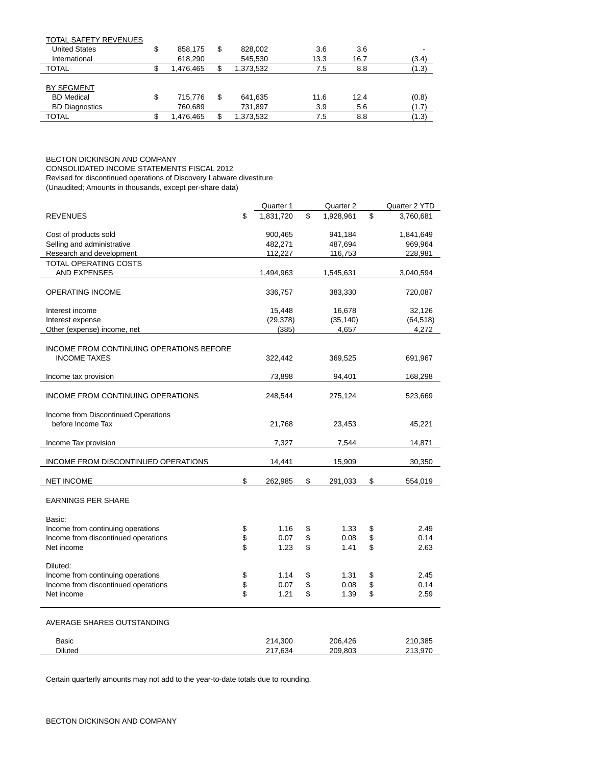| <b>TOTAL SAFETY REVENUES</b> |               |                 |      |      |       |
|------------------------------|---------------|-----------------|------|------|-------|
| <b>United States</b>         | \$<br>858.175 | \$<br>828.002   | 3.6  | 3.6  |       |
| International                | 618,290       | 545,530         | 13.3 | 16.7 | (3.4) |
| <b>TOTAL</b>                 | 1,476,465     | \$<br>1,373,532 | 7.5  | 8.8  | (1.3) |
|                              |               |                 |      |      |       |
| <b>BY SEGMENT</b>            |               |                 |      |      |       |
| <b>BD</b> Medical            | \$<br>715.776 | \$<br>641.635   | 11.6 | 12.4 | (0.8) |
| <b>BD Diagnostics</b>        | 760,689       | 731,897         | 3.9  | 5.6  | (1.7) |
| <b>TOTAL</b>                 | 1,476,465     | \$<br>1,373,532 | 7.5  | 8.8  | (1.3) |
|                              |               |                 |      |      |       |

BECTON DICKINSON AND COMPANY CONSOLIDATED INCOME STATEMENTS FISCAL 2012 Revised for discontinued operations of Discovery Labware divestiture (Unaudited; Amounts in thousands, except per-share data)

|                                                                 | Quarter 1       | Quarter 2       | Quarter 2 YTD   |
|-----------------------------------------------------------------|-----------------|-----------------|-----------------|
| <b>REVENUES</b>                                                 | \$<br>1,831,720 | \$<br>1,928,961 | \$<br>3,760,681 |
| Cost of products sold                                           | 900,465         | 941,184         | 1,841,649       |
| Selling and administrative                                      | 482,271         | 487,694         | 969,964         |
| Research and development                                        | 112,227         | 116,753         | 228,981         |
| <b>TOTAL OPERATING COSTS</b>                                    |                 |                 |                 |
| AND EXPENSES                                                    | 1,494,963       | 1,545,631       | 3,040,594       |
| OPERATING INCOME                                                | 336,757         | 383,330         | 720,087         |
| Interest income                                                 | 15,448          | 16,678          | 32,126          |
| Interest expense                                                | (29, 378)       | (35, 140)       | (64, 518)       |
| Other (expense) income, net                                     | (385)           | 4,657           | 4,272           |
| INCOME FROM CONTINUING OPERATIONS BEFORE<br><b>INCOME TAXES</b> | 322,442         | 369,525         | 691,967         |
| Income tax provision                                            | 73,898          | 94,401          | 168,298         |
| <b>INCOME FROM CONTINUING OPERATIONS</b>                        | 248,544         | 275,124         | 523,669         |
| Income from Discontinued Operations<br>before Income Tax        | 21,768          | 23,453          | 45,221          |
| Income Tax provision                                            | 7,327           | 7,544           | 14,871          |
| INCOME FROM DISCONTINUED OPERATIONS                             | 14,441          | 15.909          | 30,350          |
| <b>NET INCOME</b>                                               | \$<br>262,985   | \$<br>291,033   | \$<br>554,019   |
| <b>EARNINGS PER SHARE</b>                                       |                 |                 |                 |
| Basic:                                                          |                 |                 |                 |
| Income from continuing operations                               | \$<br>1.16      | \$<br>1.33      | \$<br>2.49      |
| Income from discontinued operations                             | \$<br>0.07      | \$<br>0.08      | \$<br>0.14      |
| Net income                                                      | \$<br>1.23      | \$<br>1.41      | \$<br>2.63      |
| Diluted:                                                        |                 |                 |                 |
| Income from continuing operations                               | \$<br>1.14      | \$<br>1.31      | \$<br>2.45      |
| Income from discontinued operations                             | \$<br>0.07      | \$<br>0.08      | \$<br>0.14      |
| Net income                                                      | \$<br>1.21      | \$<br>1.39      | \$<br>2.59      |
| AVERAGE SHARES OUTSTANDING                                      |                 |                 |                 |
| Basic                                                           | 214,300         | 206,426         | 210,385         |
| Diluted                                                         | 217,634         | 209,803         | 213,970         |

Certain quarterly amounts may not add to the year-to-date totals due to rounding.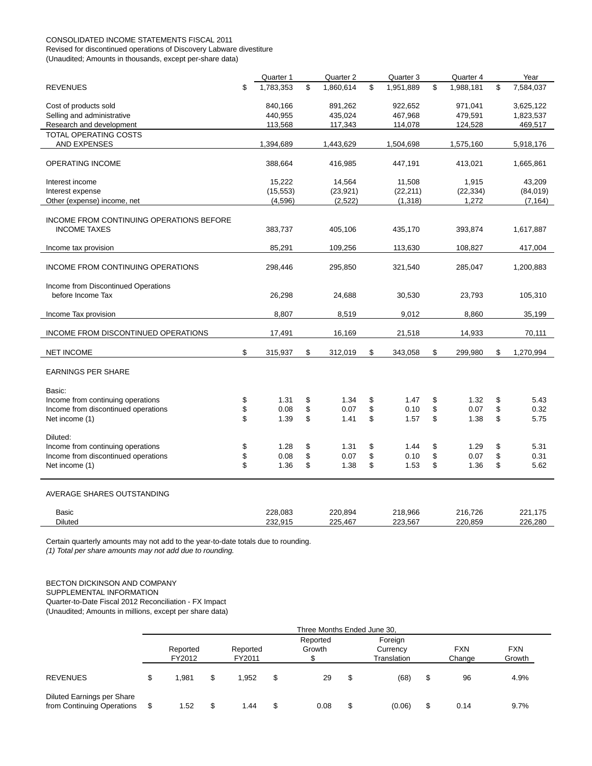# CONSOLIDATED INCOME STATEMENTS FISCAL 2011

Revised for discontinued operations of Discovery Labware divestiture

(Unaudited; Amounts in thousands, except per-share data)

| 1,783,353<br>\$<br>1,860,614<br>1,951,889<br>\$<br>1,988,181<br>\$<br>\$<br>7,584,037<br><b>REVENUES</b><br>\$<br>840,166<br>Cost of products sold<br>891,262<br>922,652<br>971,041<br>3,625,122<br>Selling and administrative<br>440,955<br>435,024<br>467,968<br>479,591<br>1,823,537<br>Research and development<br>117,343<br>114,078<br>469,517<br>113,568<br>124,528<br>TOTAL OPERATING COSTS<br><b>AND EXPENSES</b><br>1,394,689<br>1,443,629<br>1,504,698<br>1,575,160<br>5,918,176<br>OPERATING INCOME<br>388,664<br>416,985<br>447,191<br>413,021<br>1,665,861<br>15,222<br>14,564<br>11,508<br>1,915<br>43,209<br>Interest income<br>(15, 553)<br>(23, 921)<br>(22, 211)<br>(22, 334)<br>(84, 019)<br>Interest expense<br>(4,596)<br>(2,522)<br>(1, 318)<br>1,272<br>(7, 164)<br>Other (expense) income, net<br>INCOME FROM CONTINUING OPERATIONS BEFORE<br><b>INCOME TAXES</b><br>383,737<br>405,106<br>435,170<br>393,874<br>1,617,887<br>85,291<br>109,256<br>113,630<br>108,827<br>417,004<br>Income tax provision<br>INCOME FROM CONTINUING OPERATIONS<br>321,540<br>285,047<br>1,200,883<br>298,446<br>295,850<br>Income from Discontinued Operations<br>before Income Tax<br>23,793<br>105,310<br>26,298<br>24,688<br>30,530<br>Income Tax provision<br>8,807<br>8,519<br>9,012<br>8,860<br>35,199<br>17,491<br>INCOME FROM DISCONTINUED OPERATIONS<br>16,169<br>21,518<br>14,933<br>70,111<br>\$<br><b>NET INCOME</b><br>315,937<br>\$<br>312,019<br>\$<br>343,058<br>\$<br>299,980<br>\$<br>1,270,994<br><b>EARNINGS PER SHARE</b><br>Basic:<br>\$<br>\$<br>\$<br>\$<br>Income from continuing operations<br>1.31<br>\$<br>1.34<br>1.47<br>1.32<br>5.43<br>\$<br>\$<br>\$<br>\$<br>0.07<br>\$<br>Income from discontinued operations<br>0.08<br>0.10<br>0.07<br>0.32<br>\$<br>\$<br>\$<br>1.39<br>1.41<br>\$<br>1.38<br>\$<br>Net income (1)<br>1.57<br>5.75<br>Diluted:<br>\$<br>\$<br>\$<br>Income from continuing operations<br>1.28<br>1.31<br>1.44<br>\$<br>1.29<br>\$<br>5.31<br>\$<br>\$<br>\$<br>\$<br>\$<br>0.08<br>0.07<br>0.10<br>0.07<br>0.31<br>Income from discontinued operations<br>\$<br>\$<br>\$<br>\$<br>\$<br>1.36<br>1.38<br>1.53<br>1.36<br>Net income (1)<br>5.62<br>AVERAGE SHARES OUTSTANDING<br>Basic<br>228,083<br>220,894<br>218,966<br>216,726<br>221,175<br>232,915<br>225,467<br>223,567<br>226,280<br>Diluted<br>220,859 |  | Quarter 1 | Quarter 2 | Quarter 3 | Quarter 4 | Year |
|------------------------------------------------------------------------------------------------------------------------------------------------------------------------------------------------------------------------------------------------------------------------------------------------------------------------------------------------------------------------------------------------------------------------------------------------------------------------------------------------------------------------------------------------------------------------------------------------------------------------------------------------------------------------------------------------------------------------------------------------------------------------------------------------------------------------------------------------------------------------------------------------------------------------------------------------------------------------------------------------------------------------------------------------------------------------------------------------------------------------------------------------------------------------------------------------------------------------------------------------------------------------------------------------------------------------------------------------------------------------------------------------------------------------------------------------------------------------------------------------------------------------------------------------------------------------------------------------------------------------------------------------------------------------------------------------------------------------------------------------------------------------------------------------------------------------------------------------------------------------------------------------------------------------------------------------------------------------------------------------------------------------------------------------------------------------------------------------------------------------------------------------------------------------------------------------------------------------------------------------------------------------------------------------------------------------------------------------------------------------------|--|-----------|-----------|-----------|-----------|------|
|                                                                                                                                                                                                                                                                                                                                                                                                                                                                                                                                                                                                                                                                                                                                                                                                                                                                                                                                                                                                                                                                                                                                                                                                                                                                                                                                                                                                                                                                                                                                                                                                                                                                                                                                                                                                                                                                                                                                                                                                                                                                                                                                                                                                                                                                                                                                                                              |  |           |           |           |           |      |
|                                                                                                                                                                                                                                                                                                                                                                                                                                                                                                                                                                                                                                                                                                                                                                                                                                                                                                                                                                                                                                                                                                                                                                                                                                                                                                                                                                                                                                                                                                                                                                                                                                                                                                                                                                                                                                                                                                                                                                                                                                                                                                                                                                                                                                                                                                                                                                              |  |           |           |           |           |      |
|                                                                                                                                                                                                                                                                                                                                                                                                                                                                                                                                                                                                                                                                                                                                                                                                                                                                                                                                                                                                                                                                                                                                                                                                                                                                                                                                                                                                                                                                                                                                                                                                                                                                                                                                                                                                                                                                                                                                                                                                                                                                                                                                                                                                                                                                                                                                                                              |  |           |           |           |           |      |
|                                                                                                                                                                                                                                                                                                                                                                                                                                                                                                                                                                                                                                                                                                                                                                                                                                                                                                                                                                                                                                                                                                                                                                                                                                                                                                                                                                                                                                                                                                                                                                                                                                                                                                                                                                                                                                                                                                                                                                                                                                                                                                                                                                                                                                                                                                                                                                              |  |           |           |           |           |      |
|                                                                                                                                                                                                                                                                                                                                                                                                                                                                                                                                                                                                                                                                                                                                                                                                                                                                                                                                                                                                                                                                                                                                                                                                                                                                                                                                                                                                                                                                                                                                                                                                                                                                                                                                                                                                                                                                                                                                                                                                                                                                                                                                                                                                                                                                                                                                                                              |  |           |           |           |           |      |
|                                                                                                                                                                                                                                                                                                                                                                                                                                                                                                                                                                                                                                                                                                                                                                                                                                                                                                                                                                                                                                                                                                                                                                                                                                                                                                                                                                                                                                                                                                                                                                                                                                                                                                                                                                                                                                                                                                                                                                                                                                                                                                                                                                                                                                                                                                                                                                              |  |           |           |           |           |      |
|                                                                                                                                                                                                                                                                                                                                                                                                                                                                                                                                                                                                                                                                                                                                                                                                                                                                                                                                                                                                                                                                                                                                                                                                                                                                                                                                                                                                                                                                                                                                                                                                                                                                                                                                                                                                                                                                                                                                                                                                                                                                                                                                                                                                                                                                                                                                                                              |  |           |           |           |           |      |
|                                                                                                                                                                                                                                                                                                                                                                                                                                                                                                                                                                                                                                                                                                                                                                                                                                                                                                                                                                                                                                                                                                                                                                                                                                                                                                                                                                                                                                                                                                                                                                                                                                                                                                                                                                                                                                                                                                                                                                                                                                                                                                                                                                                                                                                                                                                                                                              |  |           |           |           |           |      |
|                                                                                                                                                                                                                                                                                                                                                                                                                                                                                                                                                                                                                                                                                                                                                                                                                                                                                                                                                                                                                                                                                                                                                                                                                                                                                                                                                                                                                                                                                                                                                                                                                                                                                                                                                                                                                                                                                                                                                                                                                                                                                                                                                                                                                                                                                                                                                                              |  |           |           |           |           |      |
|                                                                                                                                                                                                                                                                                                                                                                                                                                                                                                                                                                                                                                                                                                                                                                                                                                                                                                                                                                                                                                                                                                                                                                                                                                                                                                                                                                                                                                                                                                                                                                                                                                                                                                                                                                                                                                                                                                                                                                                                                                                                                                                                                                                                                                                                                                                                                                              |  |           |           |           |           |      |
|                                                                                                                                                                                                                                                                                                                                                                                                                                                                                                                                                                                                                                                                                                                                                                                                                                                                                                                                                                                                                                                                                                                                                                                                                                                                                                                                                                                                                                                                                                                                                                                                                                                                                                                                                                                                                                                                                                                                                                                                                                                                                                                                                                                                                                                                                                                                                                              |  |           |           |           |           |      |
|                                                                                                                                                                                                                                                                                                                                                                                                                                                                                                                                                                                                                                                                                                                                                                                                                                                                                                                                                                                                                                                                                                                                                                                                                                                                                                                                                                                                                                                                                                                                                                                                                                                                                                                                                                                                                                                                                                                                                                                                                                                                                                                                                                                                                                                                                                                                                                              |  |           |           |           |           |      |
|                                                                                                                                                                                                                                                                                                                                                                                                                                                                                                                                                                                                                                                                                                                                                                                                                                                                                                                                                                                                                                                                                                                                                                                                                                                                                                                                                                                                                                                                                                                                                                                                                                                                                                                                                                                                                                                                                                                                                                                                                                                                                                                                                                                                                                                                                                                                                                              |  |           |           |           |           |      |
|                                                                                                                                                                                                                                                                                                                                                                                                                                                                                                                                                                                                                                                                                                                                                                                                                                                                                                                                                                                                                                                                                                                                                                                                                                                                                                                                                                                                                                                                                                                                                                                                                                                                                                                                                                                                                                                                                                                                                                                                                                                                                                                                                                                                                                                                                                                                                                              |  |           |           |           |           |      |
|                                                                                                                                                                                                                                                                                                                                                                                                                                                                                                                                                                                                                                                                                                                                                                                                                                                                                                                                                                                                                                                                                                                                                                                                                                                                                                                                                                                                                                                                                                                                                                                                                                                                                                                                                                                                                                                                                                                                                                                                                                                                                                                                                                                                                                                                                                                                                                              |  |           |           |           |           |      |
|                                                                                                                                                                                                                                                                                                                                                                                                                                                                                                                                                                                                                                                                                                                                                                                                                                                                                                                                                                                                                                                                                                                                                                                                                                                                                                                                                                                                                                                                                                                                                                                                                                                                                                                                                                                                                                                                                                                                                                                                                                                                                                                                                                                                                                                                                                                                                                              |  |           |           |           |           |      |
|                                                                                                                                                                                                                                                                                                                                                                                                                                                                                                                                                                                                                                                                                                                                                                                                                                                                                                                                                                                                                                                                                                                                                                                                                                                                                                                                                                                                                                                                                                                                                                                                                                                                                                                                                                                                                                                                                                                                                                                                                                                                                                                                                                                                                                                                                                                                                                              |  |           |           |           |           |      |
|                                                                                                                                                                                                                                                                                                                                                                                                                                                                                                                                                                                                                                                                                                                                                                                                                                                                                                                                                                                                                                                                                                                                                                                                                                                                                                                                                                                                                                                                                                                                                                                                                                                                                                                                                                                                                                                                                                                                                                                                                                                                                                                                                                                                                                                                                                                                                                              |  |           |           |           |           |      |
|                                                                                                                                                                                                                                                                                                                                                                                                                                                                                                                                                                                                                                                                                                                                                                                                                                                                                                                                                                                                                                                                                                                                                                                                                                                                                                                                                                                                                                                                                                                                                                                                                                                                                                                                                                                                                                                                                                                                                                                                                                                                                                                                                                                                                                                                                                                                                                              |  |           |           |           |           |      |
|                                                                                                                                                                                                                                                                                                                                                                                                                                                                                                                                                                                                                                                                                                                                                                                                                                                                                                                                                                                                                                                                                                                                                                                                                                                                                                                                                                                                                                                                                                                                                                                                                                                                                                                                                                                                                                                                                                                                                                                                                                                                                                                                                                                                                                                                                                                                                                              |  |           |           |           |           |      |
|                                                                                                                                                                                                                                                                                                                                                                                                                                                                                                                                                                                                                                                                                                                                                                                                                                                                                                                                                                                                                                                                                                                                                                                                                                                                                                                                                                                                                                                                                                                                                                                                                                                                                                                                                                                                                                                                                                                                                                                                                                                                                                                                                                                                                                                                                                                                                                              |  |           |           |           |           |      |
|                                                                                                                                                                                                                                                                                                                                                                                                                                                                                                                                                                                                                                                                                                                                                                                                                                                                                                                                                                                                                                                                                                                                                                                                                                                                                                                                                                                                                                                                                                                                                                                                                                                                                                                                                                                                                                                                                                                                                                                                                                                                                                                                                                                                                                                                                                                                                                              |  |           |           |           |           |      |
|                                                                                                                                                                                                                                                                                                                                                                                                                                                                                                                                                                                                                                                                                                                                                                                                                                                                                                                                                                                                                                                                                                                                                                                                                                                                                                                                                                                                                                                                                                                                                                                                                                                                                                                                                                                                                                                                                                                                                                                                                                                                                                                                                                                                                                                                                                                                                                              |  |           |           |           |           |      |
|                                                                                                                                                                                                                                                                                                                                                                                                                                                                                                                                                                                                                                                                                                                                                                                                                                                                                                                                                                                                                                                                                                                                                                                                                                                                                                                                                                                                                                                                                                                                                                                                                                                                                                                                                                                                                                                                                                                                                                                                                                                                                                                                                                                                                                                                                                                                                                              |  |           |           |           |           |      |
|                                                                                                                                                                                                                                                                                                                                                                                                                                                                                                                                                                                                                                                                                                                                                                                                                                                                                                                                                                                                                                                                                                                                                                                                                                                                                                                                                                                                                                                                                                                                                                                                                                                                                                                                                                                                                                                                                                                                                                                                                                                                                                                                                                                                                                                                                                                                                                              |  |           |           |           |           |      |
|                                                                                                                                                                                                                                                                                                                                                                                                                                                                                                                                                                                                                                                                                                                                                                                                                                                                                                                                                                                                                                                                                                                                                                                                                                                                                                                                                                                                                                                                                                                                                                                                                                                                                                                                                                                                                                                                                                                                                                                                                                                                                                                                                                                                                                                                                                                                                                              |  |           |           |           |           |      |
|                                                                                                                                                                                                                                                                                                                                                                                                                                                                                                                                                                                                                                                                                                                                                                                                                                                                                                                                                                                                                                                                                                                                                                                                                                                                                                                                                                                                                                                                                                                                                                                                                                                                                                                                                                                                                                                                                                                                                                                                                                                                                                                                                                                                                                                                                                                                                                              |  |           |           |           |           |      |
|                                                                                                                                                                                                                                                                                                                                                                                                                                                                                                                                                                                                                                                                                                                                                                                                                                                                                                                                                                                                                                                                                                                                                                                                                                                                                                                                                                                                                                                                                                                                                                                                                                                                                                                                                                                                                                                                                                                                                                                                                                                                                                                                                                                                                                                                                                                                                                              |  |           |           |           |           |      |
|                                                                                                                                                                                                                                                                                                                                                                                                                                                                                                                                                                                                                                                                                                                                                                                                                                                                                                                                                                                                                                                                                                                                                                                                                                                                                                                                                                                                                                                                                                                                                                                                                                                                                                                                                                                                                                                                                                                                                                                                                                                                                                                                                                                                                                                                                                                                                                              |  |           |           |           |           |      |
|                                                                                                                                                                                                                                                                                                                                                                                                                                                                                                                                                                                                                                                                                                                                                                                                                                                                                                                                                                                                                                                                                                                                                                                                                                                                                                                                                                                                                                                                                                                                                                                                                                                                                                                                                                                                                                                                                                                                                                                                                                                                                                                                                                                                                                                                                                                                                                              |  |           |           |           |           |      |
|                                                                                                                                                                                                                                                                                                                                                                                                                                                                                                                                                                                                                                                                                                                                                                                                                                                                                                                                                                                                                                                                                                                                                                                                                                                                                                                                                                                                                                                                                                                                                                                                                                                                                                                                                                                                                                                                                                                                                                                                                                                                                                                                                                                                                                                                                                                                                                              |  |           |           |           |           |      |
|                                                                                                                                                                                                                                                                                                                                                                                                                                                                                                                                                                                                                                                                                                                                                                                                                                                                                                                                                                                                                                                                                                                                                                                                                                                                                                                                                                                                                                                                                                                                                                                                                                                                                                                                                                                                                                                                                                                                                                                                                                                                                                                                                                                                                                                                                                                                                                              |  |           |           |           |           |      |
|                                                                                                                                                                                                                                                                                                                                                                                                                                                                                                                                                                                                                                                                                                                                                                                                                                                                                                                                                                                                                                                                                                                                                                                                                                                                                                                                                                                                                                                                                                                                                                                                                                                                                                                                                                                                                                                                                                                                                                                                                                                                                                                                                                                                                                                                                                                                                                              |  |           |           |           |           |      |
|                                                                                                                                                                                                                                                                                                                                                                                                                                                                                                                                                                                                                                                                                                                                                                                                                                                                                                                                                                                                                                                                                                                                                                                                                                                                                                                                                                                                                                                                                                                                                                                                                                                                                                                                                                                                                                                                                                                                                                                                                                                                                                                                                                                                                                                                                                                                                                              |  |           |           |           |           |      |
|                                                                                                                                                                                                                                                                                                                                                                                                                                                                                                                                                                                                                                                                                                                                                                                                                                                                                                                                                                                                                                                                                                                                                                                                                                                                                                                                                                                                                                                                                                                                                                                                                                                                                                                                                                                                                                                                                                                                                                                                                                                                                                                                                                                                                                                                                                                                                                              |  |           |           |           |           |      |
|                                                                                                                                                                                                                                                                                                                                                                                                                                                                                                                                                                                                                                                                                                                                                                                                                                                                                                                                                                                                                                                                                                                                                                                                                                                                                                                                                                                                                                                                                                                                                                                                                                                                                                                                                                                                                                                                                                                                                                                                                                                                                                                                                                                                                                                                                                                                                                              |  |           |           |           |           |      |
|                                                                                                                                                                                                                                                                                                                                                                                                                                                                                                                                                                                                                                                                                                                                                                                                                                                                                                                                                                                                                                                                                                                                                                                                                                                                                                                                                                                                                                                                                                                                                                                                                                                                                                                                                                                                                                                                                                                                                                                                                                                                                                                                                                                                                                                                                                                                                                              |  |           |           |           |           |      |
|                                                                                                                                                                                                                                                                                                                                                                                                                                                                                                                                                                                                                                                                                                                                                                                                                                                                                                                                                                                                                                                                                                                                                                                                                                                                                                                                                                                                                                                                                                                                                                                                                                                                                                                                                                                                                                                                                                                                                                                                                                                                                                                                                                                                                                                                                                                                                                              |  |           |           |           |           |      |
|                                                                                                                                                                                                                                                                                                                                                                                                                                                                                                                                                                                                                                                                                                                                                                                                                                                                                                                                                                                                                                                                                                                                                                                                                                                                                                                                                                                                                                                                                                                                                                                                                                                                                                                                                                                                                                                                                                                                                                                                                                                                                                                                                                                                                                                                                                                                                                              |  |           |           |           |           |      |
|                                                                                                                                                                                                                                                                                                                                                                                                                                                                                                                                                                                                                                                                                                                                                                                                                                                                                                                                                                                                                                                                                                                                                                                                                                                                                                                                                                                                                                                                                                                                                                                                                                                                                                                                                                                                                                                                                                                                                                                                                                                                                                                                                                                                                                                                                                                                                                              |  |           |           |           |           |      |
|                                                                                                                                                                                                                                                                                                                                                                                                                                                                                                                                                                                                                                                                                                                                                                                                                                                                                                                                                                                                                                                                                                                                                                                                                                                                                                                                                                                                                                                                                                                                                                                                                                                                                                                                                                                                                                                                                                                                                                                                                                                                                                                                                                                                                                                                                                                                                                              |  |           |           |           |           |      |
|                                                                                                                                                                                                                                                                                                                                                                                                                                                                                                                                                                                                                                                                                                                                                                                                                                                                                                                                                                                                                                                                                                                                                                                                                                                                                                                                                                                                                                                                                                                                                                                                                                                                                                                                                                                                                                                                                                                                                                                                                                                                                                                                                                                                                                                                                                                                                                              |  |           |           |           |           |      |
|                                                                                                                                                                                                                                                                                                                                                                                                                                                                                                                                                                                                                                                                                                                                                                                                                                                                                                                                                                                                                                                                                                                                                                                                                                                                                                                                                                                                                                                                                                                                                                                                                                                                                                                                                                                                                                                                                                                                                                                                                                                                                                                                                                                                                                                                                                                                                                              |  |           |           |           |           |      |
|                                                                                                                                                                                                                                                                                                                                                                                                                                                                                                                                                                                                                                                                                                                                                                                                                                                                                                                                                                                                                                                                                                                                                                                                                                                                                                                                                                                                                                                                                                                                                                                                                                                                                                                                                                                                                                                                                                                                                                                                                                                                                                                                                                                                                                                                                                                                                                              |  |           |           |           |           |      |
|                                                                                                                                                                                                                                                                                                                                                                                                                                                                                                                                                                                                                                                                                                                                                                                                                                                                                                                                                                                                                                                                                                                                                                                                                                                                                                                                                                                                                                                                                                                                                                                                                                                                                                                                                                                                                                                                                                                                                                                                                                                                                                                                                                                                                                                                                                                                                                              |  |           |           |           |           |      |
|                                                                                                                                                                                                                                                                                                                                                                                                                                                                                                                                                                                                                                                                                                                                                                                                                                                                                                                                                                                                                                                                                                                                                                                                                                                                                                                                                                                                                                                                                                                                                                                                                                                                                                                                                                                                                                                                                                                                                                                                                                                                                                                                                                                                                                                                                                                                                                              |  |           |           |           |           |      |

Certain quarterly amounts may not add to the year-to-date totals due to rounding.

(1) Total per share amounts may not add due to rounding.

# BECTON DICKINSON AND COMPANY

### SUPPLEMENTAL INFORMATION

Quarter-to-Date Fiscal 2012 Reconciliation - FX Impact

(Unaudited; Amounts in millions, except per share data)

|                                                          | Three Months Ended June 30, |                    |       |    |                    |    |                                    |    |                      |                      |  |
|----------------------------------------------------------|-----------------------------|--------------------|-------|----|--------------------|----|------------------------------------|----|----------------------|----------------------|--|
|                                                          | Reported<br>FY2012          | Reported<br>FY2011 |       |    | Reported<br>Growth |    | Foreign<br>Currency<br>Translation |    | <b>FXN</b><br>Change | <b>FXN</b><br>Growth |  |
| <b>REVENUES</b>                                          | \$<br>1,981                 | \$                 | 1.952 | \$ | 29                 | \$ | (68)                               | \$ | 96                   | 4.9%                 |  |
| Diluted Earnings per Share<br>from Continuing Operations | \$<br>.52                   | \$                 | 1.44  | \$ | 0.08               | S  | (0.06)                             | \$ | 0.14                 | $9.7\%$              |  |